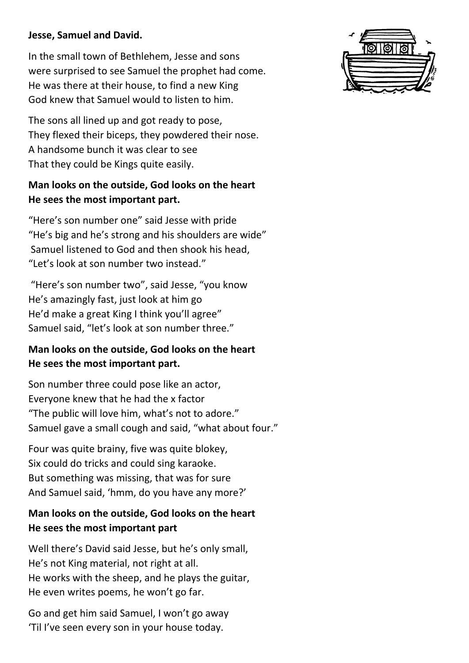### **Jesse, Samuel and David.**

In the small town of Bethlehem, Jesse and sons were surprised to see Samuel the prophet had come. He was there at their house, to find a new King God knew that Samuel would to listen to him.

The sons all lined up and got ready to pose, They flexed their biceps, they powdered their nose. A handsome bunch it was clear to see That they could be Kings quite easily.

# **Man looks on the outside, God looks on the heart He sees the most important part.**

"Here's son number one" said Jesse with pride "He's big and he's strong and his shoulders are wide" Samuel listened to God and then shook his head, "Let's look at son number two instead."

"Here's son number two", said Jesse, "you know He's amazingly fast, just look at him go He'd make a great King I think you'll agree" Samuel said, "let's look at son number three."

# **Man looks on the outside, God looks on the heart He sees the most important part.**

Son number three could pose like an actor, Everyone knew that he had the x factor "The public will love him, what's not to adore." Samuel gave a small cough and said, "what about four."

Four was quite brainy, five was quite blokey, Six could do tricks and could sing karaoke. But something was missing, that was for sure And Samuel said, 'hmm, do you have any more?'

# **Man looks on the outside, God looks on the heart He sees the most important part**

Well there's David said Jesse, but he's only small, He's not King material, not right at all. He works with the sheep, and he plays the guitar, He even writes poems, he won't go far.

Go and get him said Samuel, I won't go away 'Til I've seen every son in your house today.